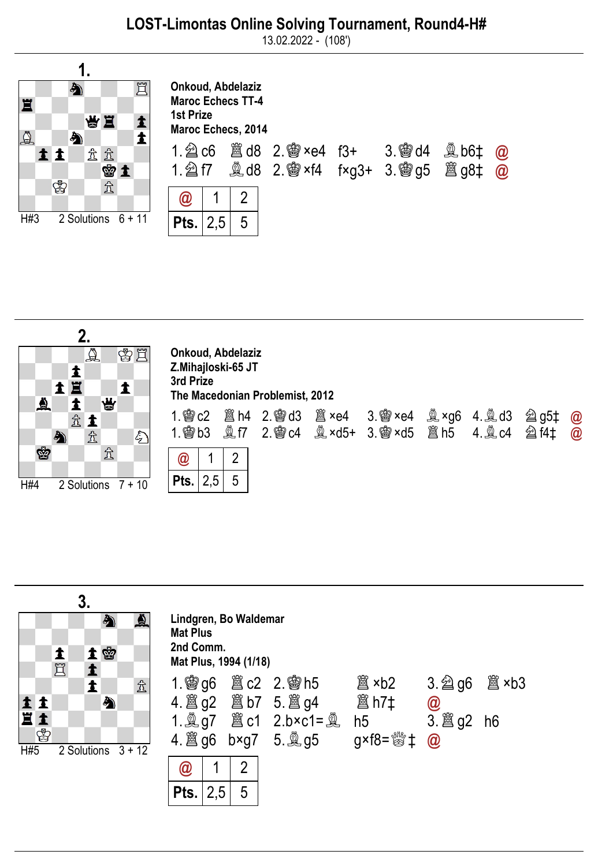13.02.2022 - (108')





| Onkoud, Abdelaziz<br>Z.Mihajloski-65 JT<br>3rd Prize<br>The Macedonian Problemist, 2012 |  |   |  |  |  |  |  |  |                      |  |
|-----------------------------------------------------------------------------------------|--|---|--|--|--|--|--|--|----------------------|--|
|                                                                                         |  |   |  |  |  |  |  |  | $\bm{a}$<br>$\omega$ |  |
| @                                                                                       |  | 2 |  |  |  |  |  |  |                      |  |
| Pts.                                                                                    |  | 5 |  |  |  |  |  |  |                      |  |

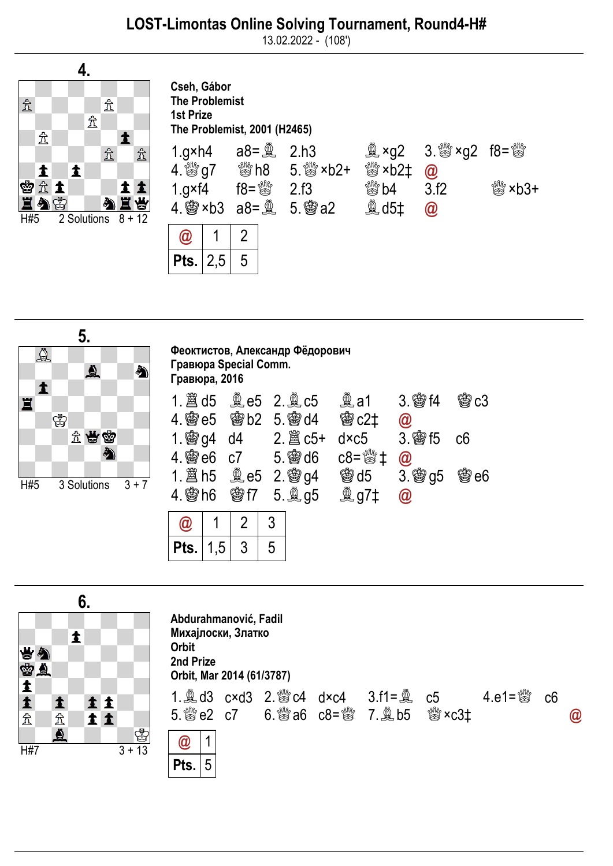13.02.2022 - (108')



| Cseh, Gábor<br><b>The Problemist</b><br><b>1st Prize</b><br>The Problemist, 2001 (H2465) |                        |   |                                                                                                 |                                                                             |                                                                                          |                        |  |  |  |
|------------------------------------------------------------------------------------------|------------------------|---|-------------------------------------------------------------------------------------------------|-----------------------------------------------------------------------------|------------------------------------------------------------------------------------------|------------------------|--|--|--|
| 1.gxh4<br>$1.g\times f4$                                                                 | $\frac{100}{100}$ = 81 |   | 2.h3<br>4. Sing 7 Sing 5. Sing xb2+<br>2.f3<br>4. <b>@</b> ×b3 a8= $\frac{8}{2}$ 5. <b>@</b> a2 | ू <sup>थी</sup> ×b2‡<br>$\stackrel{\text{\tiny{fMR}}}{\approx}$ b4<br>奠 d5‡ | $\mathbb{R}$ ×g2 3. $\mathbb{S}$ ×g2 f8= $\mathbb{S}$<br>$\circledR$<br>3.f2<br>$\omega$ | $\frac{100}{200}$ xb3+ |  |  |  |
| $\bm{\omega}$                                                                            |                        | 2 |                                                                                                 |                                                                             |                                                                                          |                        |  |  |  |
| Pts.                                                                                     |                        |   |                                                                                                 |                                                                             |                                                                                          |                        |  |  |  |



| Феоктистов, Александр Фёдорович<br>Гравюра Special Comm.<br>Гравюра, 2016 |     |                   |                              |                      |         |  |  |  |  |
|---------------------------------------------------------------------------|-----|-------------------|------------------------------|----------------------|---------|--|--|--|--|
| 1. $\hat{\mathbb{E}}$ d5 $\hat{\mathbb{E}}$ e5 2. $\hat{\mathbb{E}}$ c5   |     |                   |                              | 3. 窗f4               | c3      |  |  |  |  |
| $4.$ 臠 e5                                                                 |     | <b>@b2 5. @d4</b> | <b>@c2‡</b>                  | $\bm{\varpi}$        |         |  |  |  |  |
| $1.$ 窗 g4                                                                 | d4  |                   | dxc5                         | $3.$ \$ $15$         | с6      |  |  |  |  |
| 4. 幽 e6                                                                   | c7  |                   | $c8 = \frac{600}{300} \pm 1$ | $\circleda$          |         |  |  |  |  |
|                                                                           |     |                   | <b>臠 d5</b>                  | 3.<br>g5             | œ<br>e6 |  |  |  |  |
| $4.$ 臠 h6                                                                 | 曾f7 |                   | 奠 g7‡                        | $^{\textregistered}$ |         |  |  |  |  |
|                                                                           |     |                   |                              |                      |         |  |  |  |  |

| Pts. | ,5 | п |
|------|----|---|

Pts. 5



| Abdurahmanović, Fadil<br>Михајлоски, Златко<br>Orbit<br>2nd Prize<br>Orbit, Mar 2014 (61/3787) |   |  |  |  |                                           |  |                                                |  |               |  |
|------------------------------------------------------------------------------------------------|---|--|--|--|-------------------------------------------|--|------------------------------------------------|--|---------------|--|
|                                                                                                |   |  |  |  | 5. ៉ e2 c7   6. ៉ a6 c8= ៉ 7. ॏॖb5 ॏ ×c3± |  | 1. అd3 c×d3 2. ៉&c4 d×c4 3.f1= అ c5 4.e1= ៉&c6 |  | $\bm{\varpi}$ |  |
| $\bm{\omega}$                                                                                  | 1 |  |  |  |                                           |  |                                                |  |               |  |